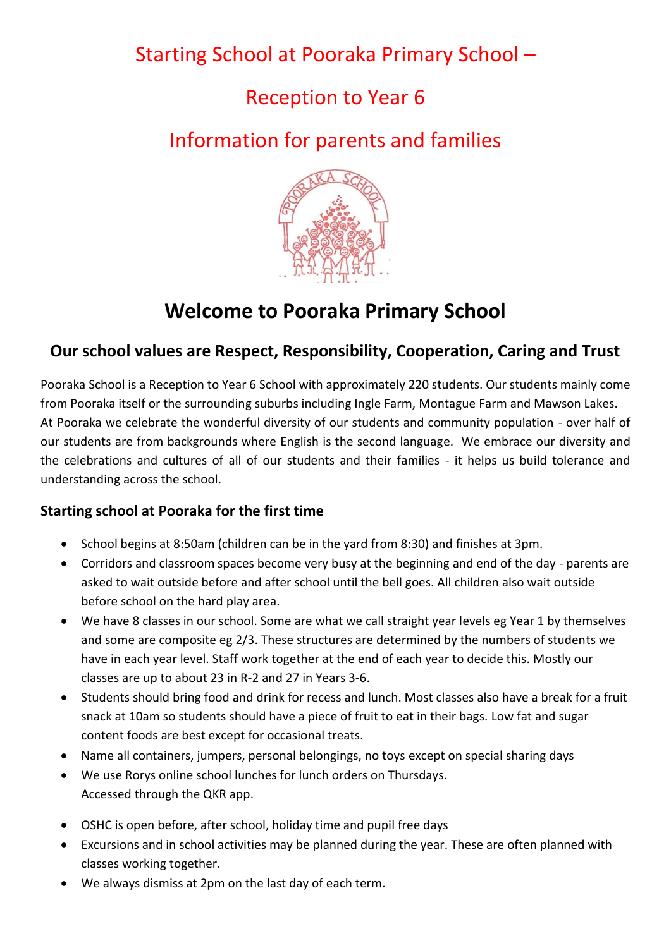## Starting School at Pooraka Primary School –

## Reception to Year 6

# Information for parents and families



# **Welcome to Pooraka Primary School**

## **Our school values are Respect, Responsibility, Cooperation, Caring and Trust**

Pooraka School is a Reception to Year 6 School with approximately 220 students. Our students mainly come from Pooraka itself or the surrounding suburbs including Ingle Farm, Montague Farm and Mawson Lakes. At Pooraka we celebrate the wonderful diversity of our students and community population - over half of our students are from backgrounds where English is the second language. We embrace our diversity and the celebrations and cultures of all of our students and their families - it helps us build tolerance and understanding across the school.

## **Starting school at Pooraka for the first time**

- School begins at 8:50am (children can be in the yard from 8:30) and finishes at 3pm.
- Corridors and classroom spaces become very busy at the beginning and end of the day parents are asked to wait outside before and after school until the bell goes. All children also wait outside before school on the hard play area.
- We have 8 classes in our school. Some are what we call straight year levels eg Year 1 by themselves and some are composite eg 2/3. These structures are determined by the numbers of students we have in each year level. Staff work together at the end of each year to decide this. Mostly our classes are up to about 23 in R-2 and 27 in Years 3-6.
- Students should bring food and drink for recess and lunch. Most classes also have a break for a fruit snack at 10am so students should have a piece of fruit to eat in their bags. Low fat and sugar content foods are best except for occasional treats.
- Name all containers, jumpers, personal belongings, no toys except on special sharing days
- We use Rorys online school lunches for lunch orders on Thursdays. Accessed through the QKR app.
- OSHC is open before, after school, holiday time and pupil free days
- Excursions and in school activities may be planned during the year. These are often planned with classes working together.
- We always dismiss at 2pm on the last day of each term.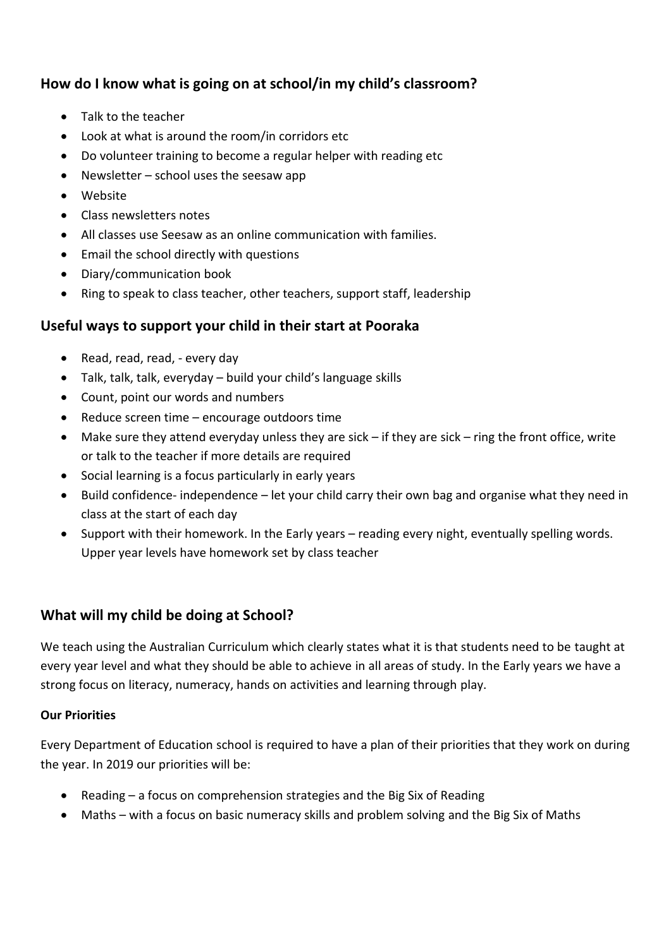## **How do I know what is going on at school/in my child's classroom?**

- Talk to the teacher
- Look at what is around the room/in corridors etc
- Do volunteer training to become a regular helper with reading etc
- Newsletter school uses the seesaw app
- Website
- Class newsletters notes
- All classes use Seesaw as an online communication with families.
- Email the school directly with questions
- Diary/communication book
- Ring to speak to class teacher, other teachers, support staff, leadership

### **Useful ways to support your child in their start at Pooraka**

- Read, read, read, every day
- Talk, talk, talk, everyday build your child's language skills
- Count, point our words and numbers
- Reduce screen time encourage outdoors time
- Make sure they attend everyday unless they are sick if they are sick ring the front office, write or talk to the teacher if more details are required
- Social learning is a focus particularly in early years
- Build confidence- independence let your child carry their own bag and organise what they need in class at the start of each day
- Support with their homework. In the Early years reading every night, eventually spelling words. Upper year levels have homework set by class teacher

## **What will my child be doing at School?**

We teach using the Australian Curriculum which clearly states what it is that students need to be taught at every year level and what they should be able to achieve in all areas of study. In the Early years we have a strong focus on literacy, numeracy, hands on activities and learning through play.

#### **Our Priorities**

Every Department of Education school is required to have a plan of their priorities that they work on during the year. In 2019 our priorities will be:

- Reading a focus on comprehension strategies and the Big Six of Reading
- Maths with a focus on basic numeracy skills and problem solving and the Big Six of Maths